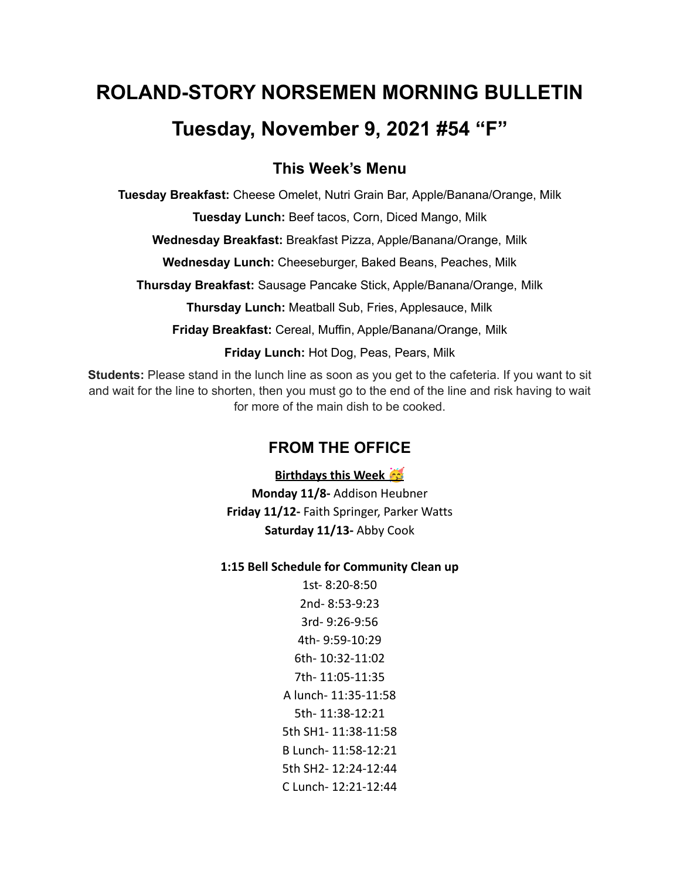# **ROLAND-STORY NORSEMEN MORNING BULLETIN Tuesday, November 9, 2021 #54 "F"**

## **This Week's Menu**

**Tuesday Breakfast:** Cheese Omelet, Nutri Grain Bar, Apple/Banana/Orange, Milk

**Tuesday Lunch:** Beef tacos, Corn, Diced Mango, Milk

**Wednesday Breakfast:** Breakfast Pizza, Apple/Banana/Orange, Milk

**Wednesday Lunch:** Cheeseburger, Baked Beans, Peaches, Milk

**Thursday Breakfast:** Sausage Pancake Stick, Apple/Banana/Orange, Milk

**Thursday Lunch:** Meatball Sub, Fries, Applesauce, Milk

**Friday Breakfast:** Cereal, Muffin, Apple/Banana/Orange, Milk

**Friday Lunch:** Hot Dog, Peas, Pears, Milk

**Students:** Please stand in the lunch line as soon as you get to the cafeteria. If you want to sit and wait for the line to shorten, then you must go to the end of the line and risk having to wait for more of the main dish to be cooked.

# **FROM THE OFFICE**

**Birthdays this Week** 

**Monday 11/8-** Addison Heubner **Friday 11/12-** Faith Springer, Parker Watts **Saturday 11/13-** Abby Cook

#### **1:15 Bell Schedule for Community Clean up**

1st- 8:20-8:50 2nd- 8:53-9:23 3rd- 9:26-9:56 4th- 9:59-10:29 6th- 10:32-11:02 7th- 11:05-11:35 A lunch- 11:35-11:58 5th- 11:38-12:21 5th SH1- 11:38-11:58 B Lunch- 11:58-12:21 5th SH2- 12:24-12:44 C Lunch- 12:21-12:44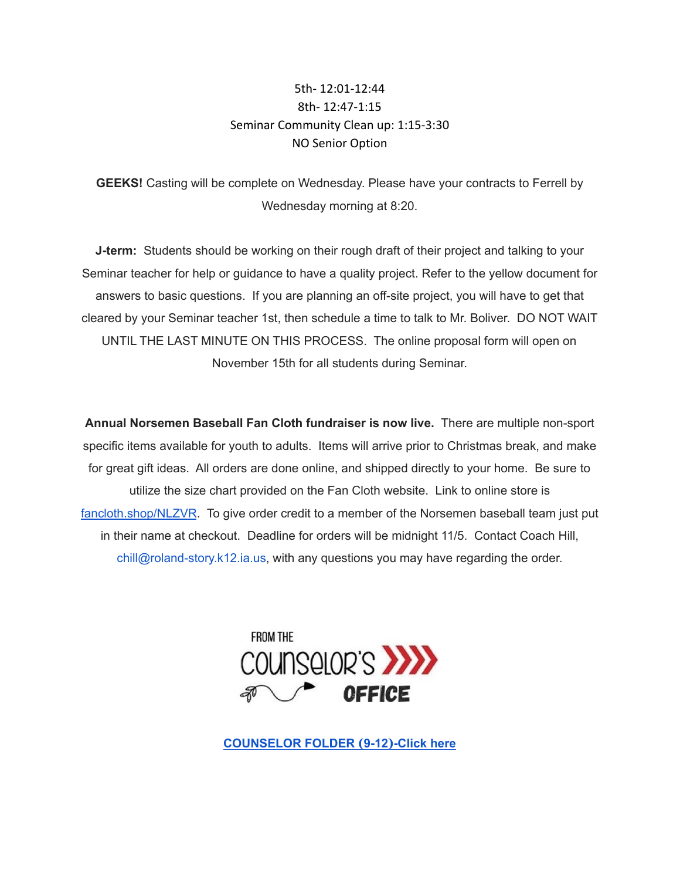## 5th- 12:01-12:44 8th- 12:47-1:15 Seminar Community Clean up: 1:15-3:30 NO Senior Option

**GEEKS!** Casting will be complete on Wednesday. Please have your contracts to Ferrell by Wednesday morning at 8:20.

**J-term:** Students should be working on their rough draft of their project and talking to your Seminar teacher for help or guidance to have a quality project. Refer to the yellow document for answers to basic questions. If you are planning an off-site project, you will have to get that cleared by your Seminar teacher 1st, then schedule a time to talk to Mr. Boliver. DO NOT WAIT UNTIL THE LAST MINUTE ON THIS PROCESS. The online proposal form will open on November 15th for all students during Seminar.

**Annual Norsemen Baseball Fan Cloth fundraiser is now live.** There are multiple non-sport specific items available for youth to adults. Items will arrive prior to Christmas break, and make for great gift ideas. All orders are done online, and shipped directly to your home. Be sure to utilize the size chart provided on the Fan Cloth website. Link to online store is [fancloth.shop/NLZVR](http://fancloth.shop/NLZVR). To give order credit to a member of the Norsemen baseball team just put in their name at checkout. Deadline for orders will be midnight 11/5. Contact Coach Hill, chill@roland-story.k12.ia.us, with any questions you may have regarding the order.



**[COUNSELOR](https://docs.google.com/document/d/1vmwczNPbDzXe9vFaG5LJMQ7NYDv-i4oQJHybqA65TUc/edit?usp=sharing) FOLDER (9-12)-Click here**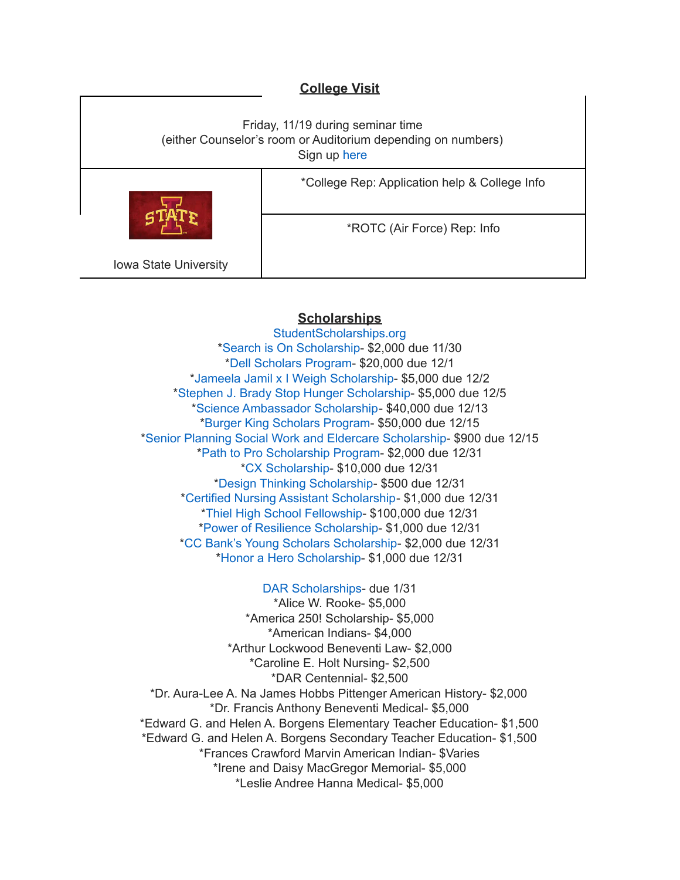### **College Visit**

Friday, 11/19 during seminar time (either Counselor's room or Auditorium depending on numbers) Sign up [here](https://forms.gle/juaxEHRunRisJU777) \*College Rep: Application help & College Info \*ROTC (Air Force) Rep: Info

Iowa State University

#### **Scholarships**

[StudentScholarships.org](https://drive.google.com/file/d/1vNlRtrk0wQiX1jPIPjpUVHhi5zFlcRvw/view?usp=sharing) \*Search is On [Scholarship](https://studentscholarships.org/scholarship/19120/search_is_on_scholarship_scholarship.php)- \$2,000 due 11/30 \*Dell [Scholars](https://studentscholarships.org/scholarship/9745/dell_scholars_program_scholarship.php) Program- \$20,000 due 12/1 \*Jameela Jamil x I Weigh [Scholarship-](https://studentscholarships.org/scholarship/19302/jameela_jamil_x_i_weigh_scholarship_scholarship.php) \$5,000 due 12/2 \*Stephen J. Brady Stop Hunger [Scholarship-](https://studentscholarships.org/scholarship/8850/stephen_j_brady_stop_hunger_scholarships_scholarship.php) \$5,000 due 12/5 \*Science [Ambassador](https://studentscholarships.org/scholarship/14669/science_ambassador_scholarship_scholarship.php) Scholarship- \$40,000 due 12/13 \*Burger King [Scholars](https://studentscholarships.org/scholarship/10533/burger_king_scholars_program_scholarship.php) Program- \$50,000 due 12/15 \*Senior Planning Social Work and Eldercare [Scholarship](https://studentscholarships.org/scholarship/11393/senior_planning_social_scholarship.php)- \$900 due 12/15 \*Path to Pro [Scholarship](https://studentscholarships.org/scholarship/19069/path_to_pro_scholarship_program_scholarship.php) Program- \$2,000 due 12/31 \*CX [Scholarship-](https://studentscholarships.org/scholarship/19320/cx_scholarship_scholarship.php) \$10,000 due 12/31 \*Design Thinking [Scholarship](https://studentscholarships.org/scholarship/11010/design_thinking_scholarship_scholarship.php)- \$500 due 12/31 \*Certified Nursing Assistant [Scholarship-](https://studentscholarships.org/scholarship/19122/certified_nursing_assistant_scholarship_scholarship.php) \$1,000 due 12/31 \*Thiel High School [Fellowship](https://studentscholarships.org/scholarship/14065/thiel_fellowship_scholarship.php)- \$100,000 due 12/31 \*Power of Resilience [Scholarship-](https://studentscholarships.org/scholarship/14792/power_of_resilience_scholarship_scholarship.php) \$1,000 due 12/31 \*CC Bank's Young Scholars [Scholarship-](https://studentscholarships.org/scholarship/13729/cc_bank_s_young_scholars_scholarship_scholarship.php) \$2,000 due 12/31 \*Honor a Hero [Scholarship](https://studentscholarships.org/scholarship/19015/honor_a_hero_scholarship_scholarship.php)- \$1,000 due 12/31

DAR [Scholarships-](https://dar.academicworks.com/) due 1/31 \*Alice W. Rooke- \$5,000 \*America 250! Scholarship- \$5,000 \*American Indians- \$4,000 \*Arthur Lockwood Beneventi Law- \$2,000 \*Caroline E. Holt Nursing- \$2,500 \*DAR Centennial- \$2,500 \*Dr. Aura-Lee A. Na James Hobbs Pittenger American History- \$2,000 \*Dr. Francis Anthony Beneventi Medical- \$5,000 \*Edward G. and Helen A. Borgens Elementary Teacher Education- \$1,500 \*Edward G. and Helen A. Borgens Secondary Teacher Education- \$1,500 \*Frances Crawford Marvin American Indian- \$Varies \*Irene and Daisy MacGregor Memorial- \$5,000 \*Leslie Andree Hanna Medical- \$5,000